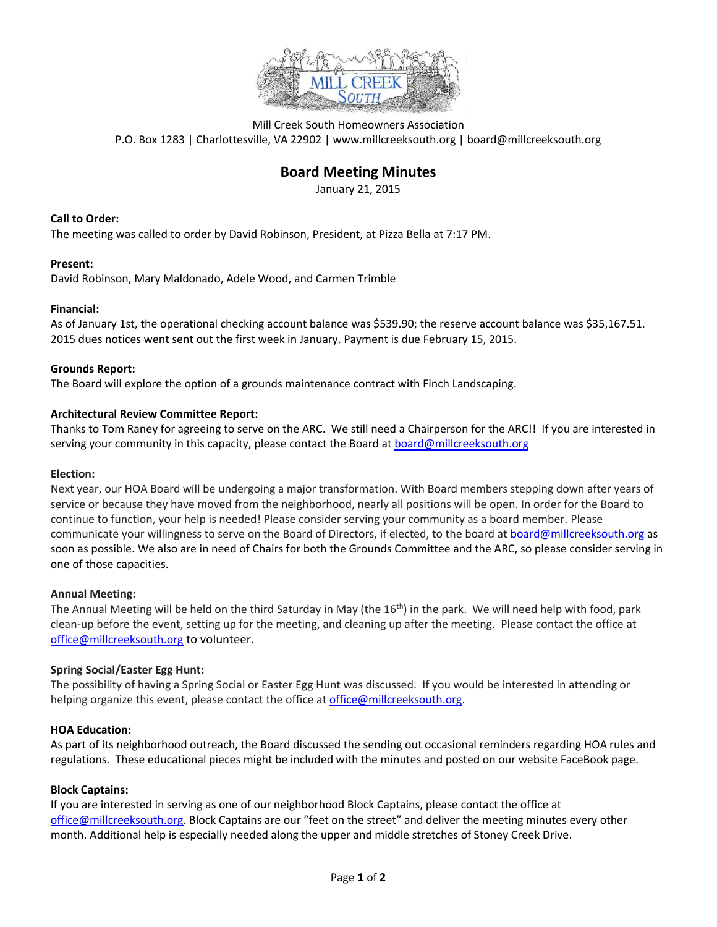

Mill Creek South Homeowners Association P.O. Box 1283 | Charlottesville, VA 22902 | www.millcreeksouth.org | board@millcreeksouth.org

# **Board Meeting Minutes**

January 21, 2015

# **Call to Order:**

The meeting was called to order by David Robinson, President, at Pizza Bella at 7:17 PM.

## **Present:**

David Robinson, Mary Maldonado, Adele Wood, and Carmen Trimble

#### **Financial:**

As of January 1st, the operational checking account balance was \$539.90; the reserve account balance was \$35,167.51. 2015 dues notices went sent out the first week in January. Payment is due February 15, 2015.

#### **Grounds Report:**

The Board will explore the option of a grounds maintenance contract with Finch Landscaping.

## **Architectural Review Committee Report:**

Thanks to Tom Raney for agreeing to serve on the ARC. We still need a Chairperson for the ARC!! If you are interested in serving your community in this capacity, please contact the Board at [board@millcreeksouth.org](mailto:board@millcreeksouth.org)

#### **Election:**

Next year, our HOA Board will be undergoing a major transformation. With Board members stepping down after years of service or because they have moved from the neighborhood, nearly all positions will be open. In order for the Board to continue to function, your help is needed! Please consider serving your community as a board member. Please communicate your willingness to serve on the Board of Directors, if elected, to the board a[t board@millcreeksouth.org](mailto:board@millcreeksouth.org) as soon as possible. We also are in need of Chairs for both the Grounds Committee and the ARC, so please consider serving in one of those capacities.

#### **Annual Meeting:**

The Annual Meeting will be held on the third Saturday in May (the  $16<sup>th</sup>$ ) in the park. We will need help with food, park clean-up before the event, setting up for the meeting, and cleaning up after the meeting. Please contact the office at [office@millcreeksouth.org](mailto:office@millcreeksouth.org) to volunteer.

#### **Spring Social/Easter Egg Hunt:**

The possibility of having a Spring Social or Easter Egg Hunt was discussed. If you would be interested in attending or helping organize this event, please contact the office a[t office@millcreeksouth.org.](mailto:office@millcreeksouth.org)

#### **HOA Education:**

As part of its neighborhood outreach, the Board discussed the sending out occasional reminders regarding HOA rules and regulations. These educational pieces might be included with the minutes and posted on our website FaceBook page.

#### **Block Captains:**

If you are interested in serving as one of our neighborhood Block Captains, please contact the office at [office@millcreeksouth.org](mailto:office@millcreeksouth.org). Block Captains are our "feet on the street" and deliver the meeting minutes every other month. Additional help is especially needed along the upper and middle stretches of Stoney Creek Drive.